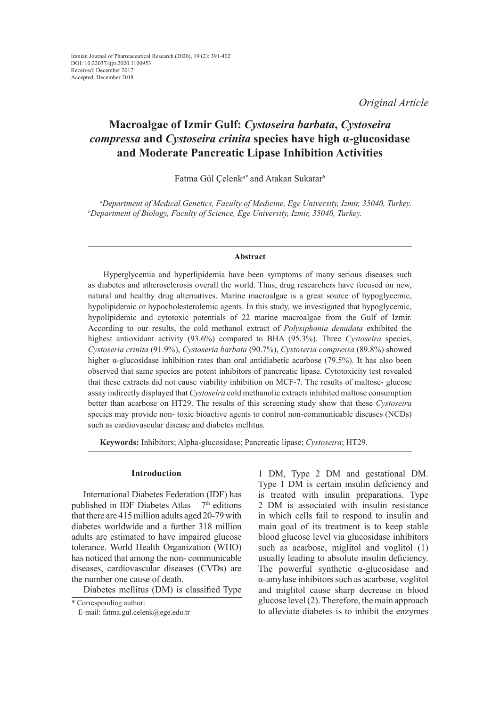*Original Article*

# **Macroalgae of Izmir Gulf:** *Cystoseira barbata***,** *Cystoseira compressa* **and** *Cystoseira crinita* **species have high α-glucosidase and Moderate Pancreatic Lipase Inhibition Activities**

Fatma Gül Çelenk*a\** and Atakan Sukatar*<sup>b</sup>*

*a Department of Medical Genetics, Faculty of Medicine, Ege University, Izmir, 35040, Turkey. b Department of Biology, Faculty of Science, Ege University, Izmir, 35040, Turkey.*

### **Abstract**

Hyperglycemia and hyperlipidemia have been symptoms of many serious diseases such as diabetes and atherosclerosis overall the world. Thus, drug researchers have focused on new, natural and healthy drug alternatives. Marine macroalgae is a great source of hypoglycemic, hypolipidemic or hypocholesterolemic agents. In this study, we investigated that hypoglycemic, hypolipidemic and cytotoxic potentials of 22 marine macroalgae from the Gulf of Izmir. According to our results, the cold methanol extract of *Polysiphonia denudata* exhibited the highest antioxidant activity (93.6%) compared to BHA (95.3%). Three *Cystoseira* species, *Cystoseria crinita* (91.9%), *Cystoseria barbata* (90.7%), *Cystoseria compressa* (89.8%) showed higher α-glucosidase inhibition rates than oral antidiabetic acarbose (79.5%). It has also been observed that same species are potent inhibitors of pancreatic lipase. Cytotoxicity test revealed that these extracts did not cause viability inhibition on MCF-7. The results of maltose- glucose assay indirectly displayed that *Cystoseira* cold methanolic extracts inhibited maltose consumption better than acarbose on HT29. The results of this screening study show that these *Cystoseira*  species may provide non- toxic bioactive agents to control non-communicable diseases (NCDs) such as cardiovascular disease and diabetes mellitus.

**Keywords:** Inhibitors; Alpha-glucosidase; Pancreatic lipase; *Cystoseira*; HT29.

### **Introduction**

International Diabetes Federation (IDF) has published in IDF Diabetes Atlas  $-7<sup>th</sup>$  editions that there are 415 million adults aged 20-79 with diabetes worldwide and a further 318 million adults are estimated to have impaired glucose tolerance. World Health Organization (WHO) has noticed that among the non- communicable diseases, cardiovascular diseases (CVDs) are the number one cause of death.

Diabetes mellitus (DM) is classified Type

1 DM, Type 2 DM and gestational DM. Type 1 DM is certain insulin deficiency and is treated with insulin preparations. Type 2 DM is associated with insulin resistance in which cells fail to respond to insulin and main goal of its treatment is to keep stable blood glucose level via glucosidase inhibitors such as acarbose, miglitol and voglitol  $(1)$ usually leading to absolute insulin deficiency. The powerful synthetic α-glucosidase and α-amylase inhibitors such as acarbose, voglitol and miglitol cause sharp decrease in blood glucose level (2). Therefore, the main approach to alleviate diabetes is to inhibit the enzymes

<sup>\*</sup> Corresponding author: E-mail: fatma.gul.celenk@ege.edu.tr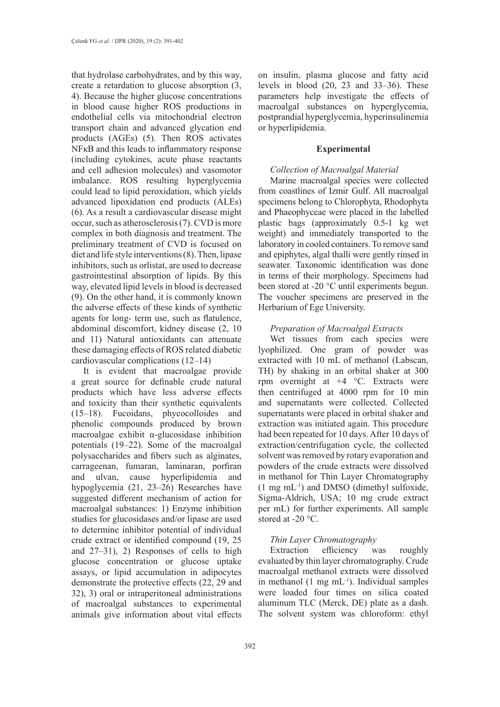that hydrolase carbohydrates, and by this way, create a retardation to glucose absorption (3, 4). Because the higher glucose concentrations in blood cause higher ROS productions in endothelial cells via mitochondrial electron transport chain and advanced glycation end products (AGEs) (5). Then ROS activates NFκB and this leads to inflammatory response (including cytokines, acute phase reactants and cell adhesion molecules) and vasomotor imbalance. ROS resulting hyperglycemia could lead to lipid peroxidation, which yields advanced lipoxidation end products (ALEs) (6). As a result a cardiovascular disease might occur, such as atherosclerosis (7). CVD is more complex in both diagnosis and treatment. The preliminary treatment of CVD is focused on diet and life style interventions (8). Then, lipase inhibitors, such as orlistat, are used to decrease gastrointestinal absorption of lipids. By this way, elevated lipid levels in blood is decreased (9). On the other hand, it is commonly known the adverse effects of these kinds of synthetic agents for long- term use, such as flatulence, abdominal discomfort, kidney disease (2, 10 and 11) Natural antioxidants can attenuate these damaging effects of ROS related diabetic cardiovascular complications (12–14)

It is evident that macroalgae provide a great source for definable crude natural products which have less adverse effects and toxicity than their synthetic equivalents (15–18). Fucoidans, phycocolloides and phenolic compounds produced by brown macroalgae exhibit α-glucosidase inhibition potentials (19–22). Some of the macroalgal polysaccharides and fibers such as alginates, carrageenan, fumaran, laminaran, porfiran and ulvan, cause hyperlipidemia and hypoglycemia (21, 23–26) Researches have suggested different mechanism of action for macroalgal substances: 1) Enzyme inhibition studies for glucosidases and/or lipase are used to determine inhibitor potential of individual crude extract or identified compound (19, 25 and 27–31), 2) Responses of cells to high glucose concentration or glucose uptake assays, or lipid accumulation in adipocytes demonstrate the protective effects (22, 29 and 32), 3) oral or intraperitoneal administrations of macroalgal substances to experimental animals give information about vital effects

on insulin, plasma glucose and fatty acid levels in blood (20, 23 and 33–36). These parameters help investigate the effects of macroalgal substances on hyperglycemia, postprandial hyperglycemia, hyperinsulinemia or hyperlipidemia.

# **Experimental**

# *Collection of Macroalgal Material*

Marine macroalgal species were collected from coastlines of Izmir Gulf. All macroalgal specimens belong to Chlorophyta, Rhodophyta and Phaeophyceae were placed in the labelled plastic bags (approximately 0.5-1 kg wet weight) and immediately transported to the laboratory in cooled containers. To remove sand and epiphytes, algal thalli were gently rinsed in seawater. Taxonomic identification was done in terms of their morphology. Specimens had been stored at -20 °C until experiments begun. The voucher specimens are preserved in the Herbarium of Ege University.

# *Preparation of Macroalgal Extracts*

Wet tissues from each species were lyophilized. One gram of powder was extracted with 10 mL of methanol (Labscan, TH) by shaking in an orbital shaker at 300 rpm overnight at  $+4$  °C. Extracts were then centrifuged at 4000 rpm for 10 min and supernatants were collected. Collected supernatants were placed in orbital shaker and extraction was initiated again. This procedure had been repeated for 10 days. After 10 days of extraction/centrifugation cycle, the collected solvent was removed by rotary evaporation and powders of the crude extracts were dissolved in methanol for Thin Layer Chromatography  $(1 \text{ mg } mL^{-1})$  and DMSO (dimethyl sulfoxide, Sigma-Aldrich, USA; 10 mg crude extract per mL) for further experiments. All sample stored at -20 °C.

# *Thin Layer Chromatography*

Extraction efficiency was roughly evaluated by thin layer chromatography. Crude macroalgal methanol extracts were dissolved in methanol  $(1 \text{ mg } mL^{-1})$ . Individual samples were loaded four times on silica coated aluminum TLC (Merck, DE) plate as a dash. The solvent system was chloroform: ethyl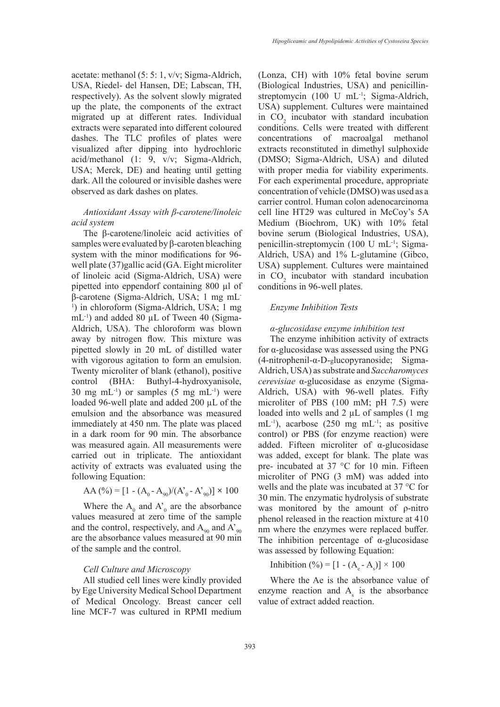acetate: methanol (5: 5: 1, v/v; Sigma-Aldrich, USA, Riedel- del Hansen, DE; Labscan, TH, respectively). As the solvent slowly migrated up the plate, the components of the extract migrated up at different rates. Individual extracts were separated into different coloured dashes. The TLC profiles of plates were visualized after dipping into hydrochloric acid/methanol (1: 9, v/v; Sigma-Aldrich, USA; Merck, DE) and heating until getting dark. All the coloured or invisible dashes were observed as dark dashes on plates.

### *Antioxidant Assay with β-carotene/linoleic acid system*

The β-carotene/linoleic acid activities of samples were evaluated by β-caroten bleaching system with the minor modifications for 96 well plate (37)gallic acid (GA. Eight microliter of linoleic acid (Sigma-Aldrich, USA) were pipetted into eppendorf containing 800 µl of β-carotene (Sigma-Aldrich, USA; 1 mg mL-<sup>1</sup>) in chloroform (Sigma-Aldrich, USA; 1 mg  $mL^{-1}$ ) and added 80 µL of Tween 40 (Sigma-Aldrich, USA). The chloroform was blown away by nitrogen flow. This mixture was pipetted slowly in 20 mL of distilled water with vigorous agitation to form an emulsion. Twenty microliter of blank (ethanol), positive control (BHA: Buthyl-4-hydroxyanisole, 30 mg m $L^{-1}$ ) or samples (5 mg m $L^{-1}$ ) were loaded 96-well plate and added 200 µL of the emulsion and the absorbance was measured immediately at 450 nm. The plate was placed in a dark room for 90 min. The absorbance was measured again. All measurements were carried out in triplicate. The antioxidant activity of extracts was evaluated using the following Equation:

$$
AA (\%) = [1 - (A_0 - A_{90})/(A'_0 - A'_{90})] \times 100
$$

Where the  $A_0$  and  $A_0$  are the absorbance values measured at zero time of the sample and the control, respectively, and  $A_{90}$  and  $A_{90}^{\prime}$ are the absorbance values measured at 90 min of the sample and the control.

#### *Cell Culture and Microscopy*

All studied cell lines were kindly provided by Ege University Medical School Department of Medical Oncology. Breast cancer cell line MCF-7 was cultured in RPMI medium (Lonza, CH) with 10% fetal bovine serum (Biological Industries, USA) and penicillinstreptomycin (100 U mL<sup>-1</sup>; Sigma-Aldrich, USA) supplement. Cultures were maintained in  $CO<sub>2</sub>$  incubator with standard incubation conditions. Cells were treated with different concentrations of macroalgal methanol extracts reconstituted in dimethyl sulphoxide (DMSO; Sigma-Aldrich, USA) and diluted with proper media for viability experiments. For each experimental procedure, appropriate concentration of vehicle (DMSO) was used as a carrier control. Human colon adenocarcinoma cell line HT29 was cultured in McCoy's 5A Medium (Biochrom, UK) with 10% fetal bovine serum (Biological Industries, USA), penicillin-streptomycin (100 U mL-1; Sigma-Aldrich, USA) and 1% L-glutamine (Gibco, USA) supplement. Cultures were maintained in  $CO<sub>2</sub>$  incubator with standard incubation conditions in 96-well plates.

#### *Enzyme Inhibition Tests*

#### *α-glucosidase enzyme inhibition test*

The enzyme inhibition activity of extracts for α-glucosidase was assessed using the PNG (4-nitrophenil-α-D-glucopyranoside; Sigma-Aldrich, USA) as substrate and *Saccharomyces cerevisiae* α-glucosidase as enzyme (Sigma-Aldrich, USA) with 96-well plates. Fifty microliter of PBS (100 mM; pH 7.5) were loaded into wells and  $2 \mu L$  of samples (1 mg) mL-1), acarbose (250 mg mL-1; as positive control) or PBS (for enzyme reaction) were added. Fifteen microliter of α-glucosidase was added, except for blank. The plate was pre- incubated at 37 °C for 10 min. Fifteen microliter of PNG (3 mM) was added into wells and the plate was incubated at 37 °C for 30 min. The enzymatic hydrolysis of substrate was monitored by the amount of ρ-nitro phenol released in the reaction mixture at 410 nm where the enzymes were replaced buffer. The inhibition percentage of  $\alpha$ -glucosidase was assessed by following Equation:

Inhibition (%) =  $[1 - (A_e - A_s)] \times 100$ 

Where the Ae is the absorbance value of enzyme reaction and  $A_s$  is the absorbance value of extract added reaction.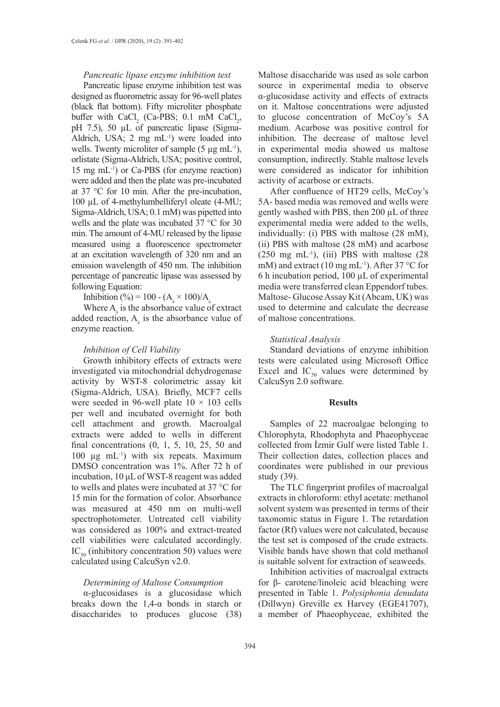### *Pancreatic lipase enzyme inhibition test*

Pancreatic lipase enzyme inhibition test was designed as fluorometric assay for 96-well plates (black flat bottom). Fifty microliter phosphate buffer with  $CaCl<sub>2</sub>$  (Ca-PBS; 0.1 mM CaCl<sub>2</sub>, pH 7.5), 50 µL of pancreatic lipase (Sigma-Aldrich, USA;  $2 \text{ mg } \text{m}$ L<sup>-1</sup>) were loaded into wells. Twenty microliter of sample  $(5 \mu g \text{ mL}^{-1})$ , orlistate (Sigma-Aldrich, USA; positive control, 15 mg mL-1) or Ca-PBS (for enzyme reaction) were added and then the plate was pre-incubated at 37 °C for 10 min. After the pre-incubation, 100 µL of 4-methylumbelliferyl oleate (4-MU; Sigma-Aldrich, USA; 0.1 mM) was pipetted into wells and the plate was incubated 37 °C for 30 min. The amount of 4-MU released by the lipase measured using a fluorescence spectrometer at an excitation wavelength of 320 nm and an emission wavelength of 450 nm. The inhibition percentage of pancreatic lipase was assessed by following Equation:

Inhibition (%) = 100 - ( $A_s \times 100$ )/ $A_c$ 

Where  $A_s$  is the absorbance value of extract added reaction,  $A_c$  is the absorbance value of enzyme reaction.

#### *Inhibition of Cell Viability*

Growth inhibitory effects of extracts were investigated via mitochondrial dehydrogenase activity by WST-8 colorimetric assay kit (Sigma-Aldrich, USA). Briefly, MCF7 cells were seeded in 96-well plate  $10 \times 103$  cells per well and incubated overnight for both cell attachment and growth. Macroalgal extracts were added to wells in different final concentrations (0, 1, 5, 10, 25, 50 and 100 µg mL-1) with six repeats. Maximum DMSO concentration was 1%. After 72 h of incubation, 10 μL of WST-8 reagent was added to wells and plates were incubated at 37 °C for 15 min for the formation of color. Absorbance was measured at 450 nm on multi-well spectrophotometer. Untreated cell viability was considered as 100% and extract-treated cell viabilities were calculated accordingly.  $IC_{50}$  (inhibitory concentration 50) values were calculated using CalcuSyn v2.0.

### *Determining of Maltose Consumption*

α-glucosidases is a glucosidase which breaks down the  $1,4-\alpha$  bonds in starch or disaccharides to produces glucose (38) Maltose disaccharide was used as sole carbon source in experimental media to observe α-glucosidase activity and effects of extracts on it. Maltose concentrations were adjusted to glucose concentration of McCoy's 5A medium. Acarbose was positive control for inhibition. The decrease of maltose level in experimental media showed us maltose consumption, indirectly. Stable maltose levels were considered as indicator for inhibition activity of acarbose or extracts.

After confluence of HT29 cells, McCoy's 5A- based media was removed and wells were gently washed with PBS, then 200 µL of three experimental media were added to the wells, individually: (i) PBS with maltose (28 mM), (ii) PBS with maltose (28 mM) and acarbose  $(250 \text{ mg } \text{mL}^{-1})$ ,  $(iii)$  PBS with maltose  $(28$ mM) and extract (10 mg mL<sup>-1</sup>). After 37 °C for 6 h incubation period, 100 µL of experimental media were transferred clean Eppendorf tubes. Maltose- Glucose Assay Kit (Abcam, UK) was used to determine and calculate the decrease of maltose concentrations.

#### *Statistical Analysis*

Standard deviations of enzyme inhibition tests were calculated using Microsoft Office Excel and  $IC_{50}$  values were determined by CalcuSyn 2.0 software*.*

#### **Results**

Samples of 22 macroalgae belonging to Chlorophyta, Rhodophyta and Phaeophyceae collected from İzmir Gulf were listed Table 1. Their collection dates, collection places and coordinates were published in our previous study (39).

The TLC fingerprint profiles of macroalgal extracts in chloroform: ethyl acetate: methanol solvent system was presented in terms of their taxonomic status in Figure 1. The retardation factor (Rf) values were not calculated, because the test set is composed of the crude extracts. Visible bands have shown that cold methanol is suitable solvent for extraction of seaweeds.

Inhibition activities of macroalgal extracts for β- carotene/linoleic acid bleaching were presented in Table 1. *Polysiphonia denudata*  (Dillwyn) Greville ex Harvey (EGE41707), a member of Phaeophyceae, exhibited the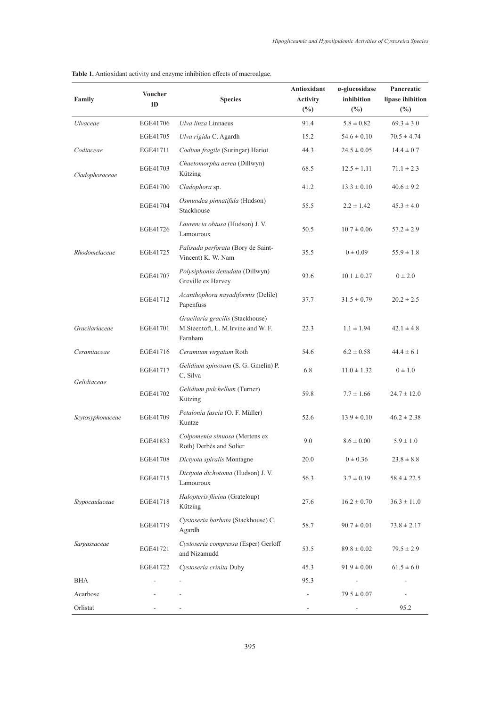| Family                          | <b>Voucher</b><br>ID | <b>Species</b>                                                                    | Antioxidant<br><b>Activity</b><br>$(\%)$ | α-glucosidase<br>inhibition<br>$(\%)$ | Pancreatic<br>lipase ihibition<br>$(\%)$ |
|---------------------------------|----------------------|-----------------------------------------------------------------------------------|------------------------------------------|---------------------------------------|------------------------------------------|
| <b>Ulvaceae</b>                 | EGE41706             | Ulva linza Linnaeus                                                               | 91.4                                     | $5.8 \pm 0.82$                        | $69.3 \pm 3.0$                           |
|                                 | EGE41705             | Ulva rigida C. Agardh                                                             | 15.2                                     | $54.6 \pm 0.10$                       | $70.5 \pm 4.74$                          |
| Codiaceae                       | EGE41711             | Codium fragile (Suringar) Hariot                                                  | 44.3                                     | $24.5 \pm 0.05$                       | $14.4 \pm 0.7$                           |
| Cladophoraceae<br>Rhodomelaceae | EGE41703             | Chaetomorpha aerea (Dillwyn)<br>Kützing                                           | 68.5                                     | $12.5 \pm 1.11$                       | $71.1 \pm 2.3$                           |
|                                 | EGE41700             | Cladophora sp.                                                                    | 41.2                                     | $13.3 \pm 0.10$                       | $40.6 \pm 9.2$                           |
|                                 | EGE41704             | Osmundea pinnatifida (Hudson)<br>Stackhouse                                       | 55.5                                     | $2.2 \pm 1.42$                        | $45.3 \pm 4.0$                           |
|                                 | EGE41726             | Laurencia obtusa (Hudson) J. V.<br>Lamouroux                                      | 50.5                                     | $10.7 \pm 0.06$                       | $57.2 \pm 2.9$                           |
|                                 | EGE41725             | Palisada perforata (Bory de Saint-<br>Vincent) K. W. Nam                          | 35.5                                     | $0 \pm 0.09$                          | $55.9 \pm 1.8$                           |
|                                 | EGE41707             | Polysiphonia denudata (Dillwyn)<br>Greville ex Harvey                             | 93.6                                     | $10.1 \pm 0.27$                       | $0 \pm 2.0$                              |
|                                 | EGE41712             | Acanthophora nayadiformis (Delile)<br>Papenfuss                                   | 37.7                                     | $31.5 \pm 0.79$                       | $20.2 \pm 2.5$                           |
| Gracilariaceae                  | EGE41701             | Gracilaria gracilis (Stackhouse)<br>M.Steentoft, L. M.Irvine and W. F.<br>Farnham | 22.3                                     | $1.1 \pm 1.94$                        | $42.1 \pm 4.8$                           |
| Ceramiaceae                     | EGE41716             | Ceramium virgatum Roth                                                            | 54.6                                     | $6.2 \pm 0.58$                        | $44.4 \pm 6.1$                           |
| Gelidiaceae                     | EGE41717             | Gelidium spinosum (S. G. Gmelin) P.<br>C. Silva                                   | 6.8                                      | $11.0 \pm 1.32$                       | $0 \pm 1.0$                              |
|                                 | EGE41702             | Gelidium pulchellum (Turner)<br>Kützing                                           | 59.8                                     | $7.7 \pm 1.66$                        | $24.7 \pm 12.0$                          |
| Scytosyphonaceae                | EGE41709             | Petalonia fascia (O. F. Müller)<br>Kuntze                                         | 52.6                                     | $13.9 \pm 0.10$                       | $46.2 \pm 2.38$                          |
|                                 | EGE41833             | Colpomenia sinuosa (Mertens ex<br>Roth) Derbès and Solier                         | 9.0                                      | $8.6 \pm 0.00$                        | $5.9 \pm 1.0$                            |
|                                 | EGE41708             | Dictyota spiralis Montagne                                                        | 20.0                                     | $0 \pm 0.36$                          | $23.8 \pm 8.8$                           |
|                                 | EGE41715             | Dictyota dichotoma (Hudson) J. V.<br>Lamouroux                                    | 56.3                                     | $3.7 \pm 0.19$                        | $58.4 \pm 22.5$                          |
| Stypocaulaceae                  | EGE41718             | Halopteris flicina (Grateloup)<br>Kützing                                         | 27.6                                     | $16.2 \pm 0.70$                       | $36.3 \pm 11.0$                          |
|                                 | EGE41719             | Cystoseria barbata (Stackhouse) C.<br>Agardh                                      | 58.7                                     | $90.7 \pm 0.01$                       | $73.8 \pm 2.17$                          |
| Sargassaceae                    | EGE41721             | Cystoseria compressa (Esper) Gerloff<br>and Nizamudd                              | 53.5                                     | $89.8 \pm 0.02$                       | $79.5 \pm 2.9$                           |
|                                 | EGE41722             | Cystoseria crinita Duby                                                           | 45.3                                     | $91.9 \pm 0.00$                       | $61.5 \pm 6.0$                           |
| BHA                             |                      | ÷,                                                                                | 95.3                                     |                                       |                                          |
| Acarbose                        |                      |                                                                                   |                                          | $79.5 \pm 0.07$                       |                                          |
| Orlistat                        |                      |                                                                                   |                                          |                                       | 95.2                                     |

**Table 1.** Antioxidant activity and enzyme inhibition effects of macroalgae.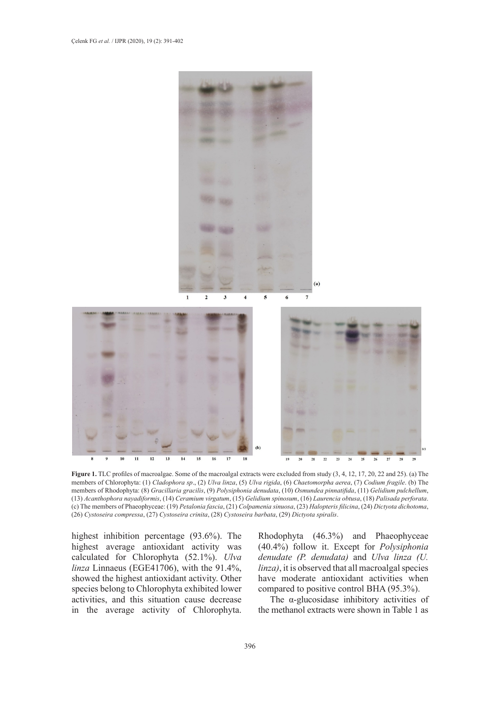

**Figure 1.** TLC profiles of macroalgae. Some of the macroalgal extracts were excluded from study (3, 4, 12, 17, 20, 22 and 25). (a) The members of Chlorophyta: (1) *Cladophora sp*., (2) *Ulva linza*, (5) *Ulva rigida*, (6) *Chaetomorpha aerea*, (7) *Codium fragile*. (b) The members of Rhodophyta: (8) *Gracillaria gracilis*, (9) *Polysiphonia denudata*, (10) *Osmundea pinnatifida*, (11) *Gelidium pulchellum*, (13) *Acanthophora nayadiformis*, (14) *Ceramium virgatum*, (15) *Gelidium spinosum*, (16) *Laurencia obtusa*, (18) *Palisada perforata*. (c) The members of Phaeophyceae: (19) *Petalonia fascia*, (21) *Colpamenia sinuosa*, (23) *Halopteris filicina*, (24) *Dictyota dichotoma*, (26) *Cystoseira compressa*, (27) *Cystoseira crinita*, (28) *Cystoseira barbata*, (29) *Dictyota spiralis*.

highest inhibition percentage (93.6%). The highest average antioxidant activity was calculated for Chlorophyta (52.1%). *Ulva linza* Linnaeus (EGE41706), with the 91.4%, showed the highest antioxidant activity. Other species belong to Chlorophyta exhibited lower activities, and this situation cause decrease in the average activity of Chlorophyta.

Rhodophyta (46.3%) and Phaeophyceae (40.4%) follow it. Except for *Polysiphonia denudate (P. denudata)* and *Ulva linza (U. linza)*, it is observed that all macroalgal species have moderate antioxidant activities when compared to positive control BHA (95.3%).

The α-glucosidase inhibitory activities of the methanol extracts were shown in Table 1 as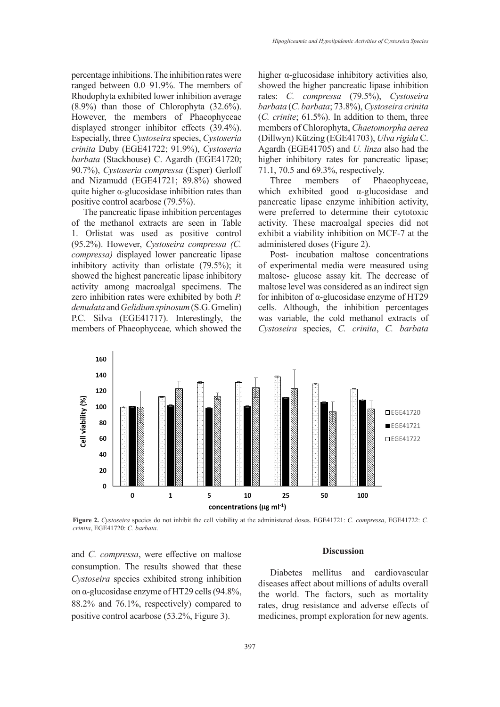percentage inhibitions. The inhibition rates were ranged between 0.0–91.9%. The members of Rhodophyta exhibited lower inhibition average (8.9%) than those of Chlorophyta (32.6%). However, the members of Phaeophyceae displayed stronger inhibitor effects (39.4%). Especially, three *Cystoseira* species, *Cystoseria crinita* Duby (EGE41722; 91.9%), *Cystoseria barbata* (Stackhouse) C. Agardh (EGE41720; 90.7%), *Cystoseria compressa* (Esper) Gerloff and Nizamudd (EGE41721; 89.8%) showed quite higher α-glucosidase inhibition rates than positive control acarbose (79.5%).

The pancreatic lipase inhibition percentages of the methanol extracts are seen in Table 1. Orlistat was used as positive control (95.2%). However, *Cystoseira compressa (C. compressa)* displayed lower pancreatic lipase inhibitory activity than orlistate (79.5%); it showed the highest pancreatic lipase inhibitory activity among macroalgal specimens. The zero inhibition rates were exhibited by both *P. denudata* and *Gelidium spinosum* (S.G. Gmelin) P.C. Silva (EGE41717). Interestingly, the members of Phaeophyceae*,* which showed the

higher α-glucosidase inhibitory activities also*,* showed the higher pancreatic lipase inhibition rates: *C. compressa* (79.5%), *Cystoseira barbata* (*C. barbata*; 73.8%), *Cystoseira crinita*  (*C. crinite*; 61.5%). In addition to them, three members of Chlorophyta, *Chaetomorpha aerea* (Dillwyn) Kützing (EGE41703), *Ulva rigida* C. Agardh (EGE41705) and *U. linza* also had the higher inhibitory rates for pancreatic lipase; 71.1, 70.5 and 69.3%, respectively.

Three members of Phaeophyceae, which exhibited good α-glucosidase and pancreatic lipase enzyme inhibition activity, were preferred to determine their cytotoxic activity. These macroalgal species did not exhibit a viability inhibition on MCF-7 at the administered doses (Figure 2).

Post- incubation maltose concentrations of experimental media were measured using maltose- glucose assay kit. The decrease of maltose level was considered as an indirect sign for inhibiton of α-glucosidase enzyme of HT29 cells. Although, the inhibition percentages was variable, the cold methanol extracts of *Cystoseira* species, *C. crinita*, *C. barbata*



**Figure 2.** *Cystoseira* species do not inhibit the cell viability at the administered doses. EGE41721: *C. compressa*, EGE41722: *C. crinita*, EGE41720: *C. barbata*.

and *C. compressa*, were effective on maltose consumption. The results showed that these *Cystoseira* species exhibited strong inhibition on α-glucosidase enzyme of HT29 cells (94.8%, 88.2% and 76.1%, respectively) compared to positive control acarbose (53.2%, Figure 3).

#### **Discussion**

Diabetes mellitus and cardiovascular diseases affect about millions of adults overall the world. The factors, such as mortality rates, drug resistance and adverse effects of medicines, prompt exploration for new agents.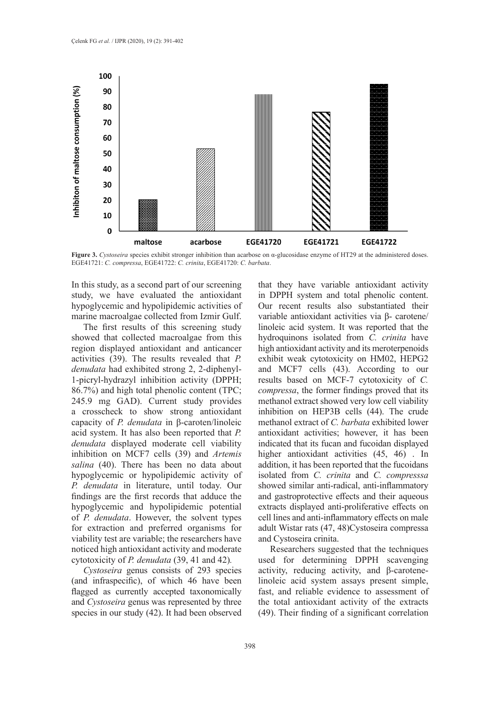

**Figure 3.** *Cystoseira* species exhibit stronger inhibition than acarbose on α-glucosidase enzyme of HT29 at the administered doses. EGE41721: *C. compressa*, EGE41722: *C. crinita*, EGE41720: *C. barbata*.

In this study, as a second part of our screening study, we have evaluated the antioxidant hypoglycemic and hypolipidemic activities of marine macroalgae collected from Izmir Gulf.

The first results of this screening study showed that collected macroalgae from this region displayed antioxidant and anticancer activities (39). The results revealed that *P. denudata* had exhibited strong 2, 2-diphenyl-1-picryl-hydrazyl inhibition activity (DPPH; 86.7%) and high total phenolic content (TPC; 245.9 mg GAD). Current study provides a crosscheck to show strong antioxidant capacity of *P. denudata* in β-caroten/linoleic acid system. It has also been reported that *P. denudata* displayed moderate cell viability inhibition on MCF7 cells (39) and *Artemis salina* (40). There has been no data about hypoglycemic or hypolipidemic activity of *P. denudata* in literature, until today. Our findings are the first records that adduce the hypoglycemic and hypolipidemic potential of *P. denudata*. However, the solvent types for extraction and preferred organisms for viability test are variable; the researchers have noticed high antioxidant activity and moderate cytotoxicity of *P. denudata* (39, 41 and 42)*.* 

*Cystoseira* genus consists of 293 species (and infraspecific), of which 46 have been flagged as currently accepted taxonomically and *Cystoseira* genus was represented by three species in our study (42). It had been observed that they have variable antioxidant activity in DPPH system and total phenolic content. Our recent results also substantiated their variable antioxidant activities via β- carotene/ linoleic acid system. It was reported that the hydroquinons isolated from *C. crinita* have high antioxidant activity and its meroterpenoids exhibit weak cytotoxicity on HM02, HEPG2 and MCF7 cells (43). According to our results based on MCF-7 cytotoxicity of *C. compressa*, the former findings proved that its methanol extract showed very low cell viability inhibition on HEP3B cells (44). The crude methanol extract of *C. barbata* exhibited lower antioxidant activities; however, it has been indicated that its fucan and fucoidan displayed higher antioxidant activities (45, 46). In addition, it has been reported that the fucoidans isolated from *C. crinita* and *C. compresssa* showed similar anti-radical, anti-inflammatory and gastroprotective effects and their aqueous extracts displayed anti-proliferative effects on cell lines and anti-inflammatory effects on male adult Wistar rats (47, 48)Cystoseira compressa and Cystoseira crinita.

Researchers suggested that the techniques used for determining DPPH scavenging activity, reducing activity, and β-carotenelinoleic acid system assays present simple, fast, and reliable evidence to assessment of the total antioxidant activity of the extracts (49). Their finding of a significant correlation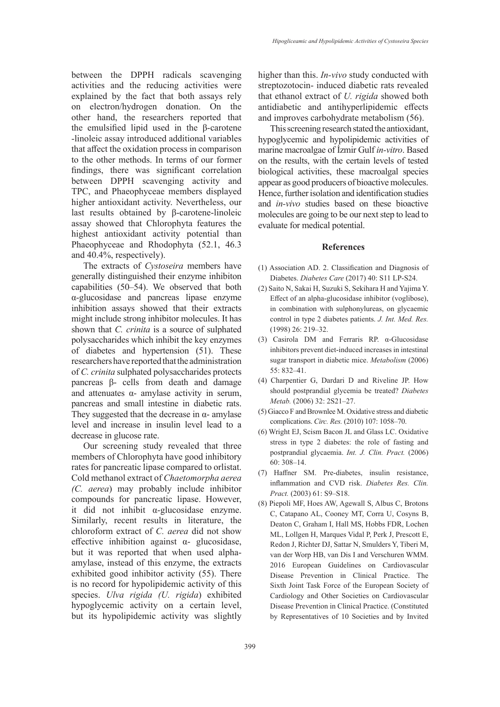between the DPPH radicals scavenging activities and the reducing activities were explained by the fact that both assays rely on electron/hydrogen donation. On the other hand, the researchers reported that the emulsified lipid used in the β-carotene -linoleic assay introduced additional variables that affect the oxidation process in comparison to the other methods. In terms of our former findings, there was significant correlation between DPPH scavenging activity and TPC, and Phaeophyceae members displayed higher antioxidant activity. Nevertheless, our last results obtained by β-carotene-linoleic assay showed that Chlorophyta features the highest antioxidant activity potential than Phaeophyceae and Rhodophyta (52.1, 46.3 and 40.4%, respectively).

The extracts of *Cystoseira* members have generally distinguished their enzyme inhibiton capabilities (50–54). We observed that both α-glucosidase and pancreas lipase enzyme inhibition assays showed that their extracts might include strong inhibitor molecules. It has shown that *C. crinita* is a source of sulphated polysaccharides which inhibit the key enzymes of diabetes and hypertension (51). These researchers have reported that the administration of *C. crinita* sulphated polysaccharides protects pancreas β- cells from death and damage and attenuates  $\alpha$ - amylase activity in serum, pancreas and small intestine in diabetic rats. They suggested that the decrease in  $\alpha$ - amylase level and increase in insulin level lead to a decrease in glucose rate.

Our screening study revealed that three members of Chlorophyta have good inhibitory rates for pancreatic lipase compared to orlistat. Cold methanol extract of *Chaetomorpha aerea (C. aerea*) may probably include inhibitor compounds for pancreatic lipase. However, it did not inhibit α-glucosidase enzyme. Similarly, recent results in literature, the chloroform extract of *C. aerea* did not show effective inhibition against α- glucosidase, but it was reported that when used alphaamylase, instead of this enzyme, the extracts exhibited good inhibitor activity (55). There is no record for hypolipidemic activity of this species. *Ulva rigida (U. rigida*) exhibited hypoglycemic activity on a certain level, but its hypolipidemic activity was slightly

higher than this. *In-vivo* study conducted with streptozotocin- induced diabetic rats revealed that ethanol extract of *U. rigida* showed both antidiabetic and antihyperlipidemic effects and improves carbohydrate metabolism (56).

This screening research stated the antioxidant, hypoglycemic and hypolipidemic activities of marine macroalgae of İzmir Gulf *in-vitro*. Based on the results, with the certain levels of tested biological activities, these macroalgal species appear as good producers of bioactive molecules. Hence, further isolation and identification studies and *in-vivo* studies based on these bioactive molecules are going to be our next step to lead to evaluate for medical potential.

#### **References**

- (1) Association AD. 2. Classification and Diagnosis of Diabetes. *Diabetes Care* (2017) 40: S11 LP-S24.
- (2) Saito N, Sakai H, Suzuki S, Sekihara H and Yajima Y. Effect of an alpha-glucosidase inhibitor (voglibose), in combination with sulphonylureas, on glycaemic control in type 2 diabetes patients. *J. Int. Med. Res.* (1998) 26: 219–32.
- (3) Casirola DM and Ferraris RP. α-Glucosidase inhibitors prevent diet-induced increases in intestinal sugar transport in diabetic mice. *Metabolism* (2006) 55: 832–41.
- (4) Charpentier G, Dardari D and Riveline JP. How should postprandial glycemia be treated? *Diabetes Metab.* (2006) 32: 2S21–27.
- (5) Giacco F and Brownlee M. Oxidative stress and diabetic complications. *Circ. Res.* (2010) 107: 1058–70.
- (6) Wright EJ, Scism Bacon JL and Glass LC. Oxidative stress in type 2 diabetes: the role of fasting and postprandial glycaemia. *Int. J. Clin. Pract.* (2006) 60: 308–14.
- (7) Haffner SM. Pre-diabetes, insulin resistance, inflammation and CVD risk. *Diabetes Res. Clin. Pract.* (2003) 61: S9–S18.
- (8) Piepoli MF, Hoes AW, Agewall S, Albus C, Brotons C, Catapano AL, Cooney MT, Corra U, Cosyns B, Deaton C, Graham I, Hall MS, Hobbs FDR, Lochen ML, Lollgen H, Marques Vidal P, Perk J, Prescott E, Redon J, Richter DJ, Sattar N, Smulders Y, Tiberi M, van der Worp HB, van Dis I and Verschuren WMM. 2016 European Guidelines on Cardiovascular Disease Prevention in Clinical Practice. The Sixth Joint Task Force of the European Society of Cardiology and Other Societies on Cardiovascular Disease Prevention in Clinical Practice. (Constituted by Representatives of 10 Societies and by Invited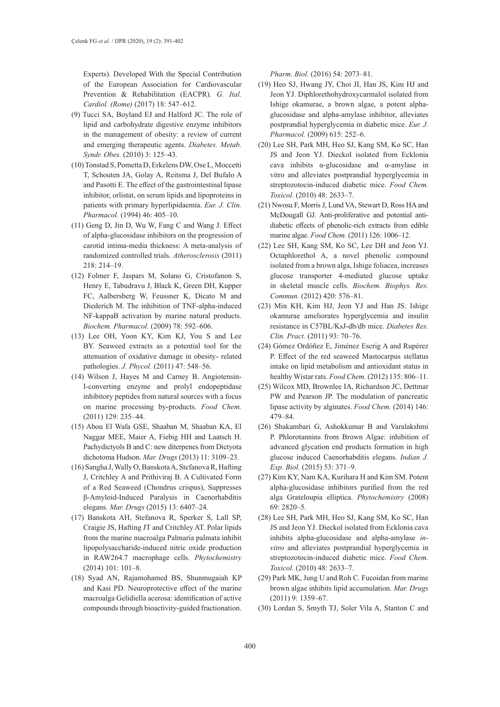Experts). Developed With the Special Contribution of the European Association for Cardiovascular Prevention & Rehabilitation (EACPR). *G. Ital. Cardiol. (Rome)* (2017) 18: 547–612.

- (9) Tucci SA, Boyland EJ and Halford JC. The role of lipid and carbohydrate digestive enzyme inhibitors in the management of obesity: a review of current and emerging therapeutic agents. *Diabetes. Metab. Syndr. Obes.* (2010) 3: 125–43.
- (10) Tonstad S, Pometta D, Erkelens DW, Ose L, Moccetti T, Schouten JA, Golay A, Reitsma J, Del Bufalo A and Pasotti E. The effect of the gastrointestinal lipase inhibitor, orlistat, on serum lipids and lipoproteins in patients with primary hyperlipidaemia. *Eur. J. Clin. Pharmacol.* (1994) 46: 405–10.
- (11) Geng D, Jin D, Wu W, Fang C and Wang J. Effect of alpha-glucosidase inhibitors on the progression of carotid intima-media thickness: A meta-analysis of randomized controlled trials. *Atherosclerosis* (2011) 218: 214–19.
- (12) Folmer F, Jaspars M, Solano G, Cristofanon S, Henry E, Tabudravu J, Black K, Green DH, Kupper FC, Aalbersberg W, Feussner K, Dicato M and Diederich M. The inhibition of TNF-alpha-induced NF-kappaB activation by marine natural products. *Biochem. Pharmacol.* (2009) 78: 592–606.
- (13) Lee OH, Yoon KY, Kim KJ, You S and Lee BY. Seaweed extracts as a potential tool for the attenuation of oxidative damage in obesity- related pathologies. *J. Phycol.* (2011) 47: 548–56.
- (14) Wilson J, Hayes M and Carney B. Angiotensin-I-converting enzyme and prolyl endopeptidase inhibitory peptides from natural sources with a focus on marine processing by-products. *Food Chem.* (2011) 129: 235–44.
- (15) Abou El Wafa GSE, Shaaban M, Shaaban KA, El Naggar MEE, Maier A, Fiebig HH and Laatsch H. Pachydictyols B and C: new diterpenes from Dictyota dichotoma Hudson. *Mar. Drugs* (2013) 11: 3109–23.
- (16) Sangha J, Wally O, Banskota A, Stefanova R, Hafting J, Critchley A and Prithiviraj B. A Cultivated Form of a Red Seaweed (Chondrus crispus), Suppresses β-Amyloid-Induced Paralysis in Caenorhabditis elegans. *Mar. Drugs* (2015) 13: 6407–24.
- (17) Banskota AH, Stefanova R, Sperker S, Lall SP, Craigie JS, Hafting JT and Critchley AT. Polar lipids from the marine macroalga Palmaria palmata inhibit lipopolysaccharide-induced nitric oxide production in RAW264.7 macrophage cells. *Phytochemistry* (2014) 101: 101–8.
- (18) Syad AN, Rajamohamed BS, Shunmugaiah KP and Kasi PD. Neuroprotective effect of the marine macroalga Gelidiella acerosa: identification of active compounds through bioactivity-guided fractionation.

*Pharm. Biol.* (2016) 54: 2073–81.

- (19) Heo SJ, Hwang JY, Choi JI, Han JS, Kim HJ and Jeon YJ. Diphlorethohydroxycarmalol isolated from Ishige okamurae, a brown algae, a potent alphaglucosidase and alpha-amylase inhibitor, alleviates postprandial hyperglycemia in diabetic mice. *Eur. J. Pharmacol.* (2009) 615: 252–6.
- (20) Lee SH, Park MH, Heo SJ, Kang SM, Ko SC, Han JS and Jeon YJ. Dieckol isolated from Ecklonia cava inhibits α-glucosidase and α-amylase in vitro and alleviates postprandial hyperglycemia in streptozotocin-induced diabetic mice. *Food Chem. Toxicol.* (2010) 48: 2633–7.
- (21) Nwosu F, Morris J, Lund VA, Stewart D, Ross HA and McDougall GJ. Anti-proliferative and potential antidiabetic effects of phenolic-rich extracts from edible marine algae. *Food Chem.* (2011) 126: 1006–12.
- (22) Lee SH, Kang SM, Ko SC, Lee DH and Jeon YJ. Octaphlorethol A, a novel phenolic compound isolated from a brown alga, Ishige foliacea, increases glucose transporter 4-mediated glucose uptake in skeletal muscle cells. *Biochem. Biophys. Res. Commun.* (2012) 420: 576–81.
- (23) Min KH, Kim HJ, Jeon YJ and Han JS. Ishige okamurae ameliorates hyperglycemia and insulin resistance in C57BL/KsJ-db/db mice. *Diabetes Res. Clin. Pract.* (2011) 93: 70–76.
- (24) Gómez Ordóñez E, Jiménez Escrig A and Rupérez P. Effect of the red seaweed Mastocarpus stellatus intake on lipid metabolism and antioxidant status in healthy Wistar rats. *Food Chem.* (2012) 135: 806–11.
- (25) Wilcox MD, Brownlee IA, Richardson JC, Dettmar PW and Pearson JP. The modulation of pancreatic lipase activity by alginates. *Food Chem.* (2014) 146: 479–84.
- (26) Shakambari G, Ashokkumar B and Varalakshmi P. Phlorotannins from Brown Algae: inhibition of advanced glycation end products formation in high glucose induced Caenorhabditis elegans. *Indian J. Exp. Biol.* (2015) 53: 371–9.
- (27) Kim KY, Nam KA, Kurihara H and Kim SM. Potent alpha-glucosidase inhibitors purified from the red alga Grateloupia elliptica. *Phytochemistry* (2008) 69: 2820–5.
- (28) Lee SH, Park MH, Heo SJ, Kang SM, Ko SC, Han JS and Jeon YJ. Dieckol isolated from Ecklonia cava inhibits alpha-glucosidase and alpha-amylase *invitro* and alleviates postprandial hyperglycemia in streptozotocin-induced diabetic mice. *Food Chem. Toxicol.* (2010) 48: 2633–7.
- (29) Park MK, Jung U and Roh C. Fucoidan from marine brown algae inhibits lipid accumulation. *Mar. Drugs* (2011) 9: 1359–67.
- (30) Lordan S, Smyth TJ, Soler Vila A, Stanton C and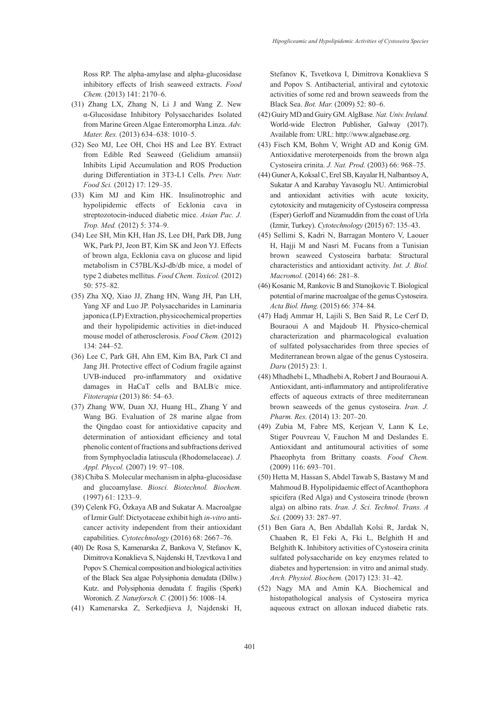Ross RP. The alpha-amylase and alpha-glucosidase inhibitory effects of Irish seaweed extracts. *Food Chem.* (2013) 141: 2170–6.

- (31) Zhang LX, Zhang N, Li J and Wang Z. New α-Glucosidase Inhibitory Polysaccharides Isolated from Marine Green Algae Enteromorpha Linza. *Adv. Mater. Res.* (2013) 634–638: 1010–5.
- (32) Seo MJ, Lee OH, Choi HS and Lee BY. Extract from Edible Red Seaweed (Gelidium amansii) Inhibits Lipid Accumulation and ROS Production during Differentiation in 3T3-L1 Cells. *Prev. Nutr. Food Sci.* (2012) 17: 129–35.
- (33) Kim MJ and Kim HK. Insulinotrophic and hypolipidemic effects of Ecklonia cava in streptozotocin-induced diabetic mice. *Asian Pac. J. Trop. Med.* (2012) 5: 374–9.
- (34) Lee SH, Min KH, Han JS, Lee DH, Park DB, Jung WK, Park PJ, Jeon BT, Kim SK and Jeon YJ. Effects of brown alga, Ecklonia cava on glucose and lipid metabolism in C57BL/KsJ-db/db mice, a model of type 2 diabetes mellitus. *Food Chem. Toxicol.* (2012) 50: 575–82.
- (35) Zha XQ, Xiao JJ, Zhang HN, Wang JH, Pan LH, Yang XF and Luo JP. Polysaccharides in Laminaria japonica (LP) Extraction, physicochemical properties and their hypolipidemic activities in diet-induced mouse model of atherosclerosis. *Food Chem.* (2012) 134: 244–52.
- (36) Lee C, Park GH, Ahn EM, Kim BA, Park CI and Jang JH. Protective effect of Codium fragile against UVB-induced pro-inflammatory and oxidative damages in HaCaT cells and BALB/c mice. *Fitoterapia* (2013) 86: 54–63.
- (37) Zhang WW, Duan XJ, Huang HL, Zhang Y and Wang BG. Evaluation of 28 marine algae from the Qingdao coast for antioxidative capacity and determination of antioxidant efficiency and total phenolic content of fractions and subfractions derived from Symphyocladia latiuscula (Rhodomelaceae). *J. Appl. Phycol.* (2007) 19: 97–108.
- (38) Chiba S. Molecular mechanism in alpha-glucosidase and glucoamylase. *Biosci. Biotechnol. Biochem.* (1997) 61: 1233–9.
- (39) Çelenk FG, Özkaya AB and Sukatar A. Macroalgae of Izmir Gulf: Dictyotaceae exhibit high *in-vitro* anticancer activity independent from their antioxidant capabilities. *Cytotechnology* (2016) 68: 2667–76.
- (40) De Rosa S, Kamenarska Z, Bankova V, Stefanov K, Dimitrova Konaklieva S, Najdenski H, Tzevtkova I and Popov S. Chemical composition and biological activities of the Black Sea algae Polysiphonia denudata (Dillw.) Kutz. and Polysiphonia denudata f. fragilis (Sperk) Woronich. *Z. Naturforsch. C.* (2001) 56: 1008–14.
- (41) Kamenarska Z, Serkedjieva J, Najdenski H,

Stefanov K, Tsvetkova I, Dimitrova Konaklieva S and Popov S. Antibacterial, antiviral and cytotoxic activities of some red and brown seaweeds from the Black Sea. *Bot. Mar.* (2009) 52: 80–6.

- (42) Guiry MD and Guiry GM. AlgBase. *Nat. Univ. Ireland.*  World-wide Electron Publisher, Galway (2017). Available from: URL: http://www.algaebase.org.
- (43) Fisch KM, Bohm V, Wright AD and Konig GM. Antioxidative meroterpenoids from the brown alga Cystoseira crinita. *J. Nat. Prod.* (2003) 66: 968–75.
- (44) Guner A, Koksal C, Erel SB, Kayalar H, Nalbantsoy A, Sukatar A and Karabay Yavasoglu NU. Antimicrobial and antioxidant activities with acute toxicity, cytotoxicity and mutagenicity of Cystoseira compressa (Esper) Gerloff and Nizamuddin from the coast of Urla (Izmir, Turkey). *Cytotechnology* (2015) 67: 135–43.
- (45) Sellimi S, Kadri N, Barragan Montero V, Laouer H, Hajji M and Nasri M. Fucans from a Tunisian brown seaweed Cystoseira barbata: Structural characteristics and antioxidant activity. *Int. J. Biol. Macromol.* (2014) 66: 281–8.
- (46) Kosanic M, Rankovic B and Stanojkovic T. Biological potential of marine macroalgae of the genus Cystoseira. *Acta Biol. Hung.* (2015) 66: 374–84.
- (47) Hadj Ammar H, Lajili S, Ben Said R, Le Cerf D, Bouraoui A and Majdoub H. Physico-chemical characterization and pharmacological evaluation of sulfated polysaccharides from three species of Mediterranean brown algae of the genus Cystoseira. *Daru* (2015) 23: 1.
- (48) Mhadhebi L, Mhadhebi A, Robert J and Bouraoui A. Antioxidant, anti-inflammatory and antiproliferative effects of aqueous extracts of three mediterranean brown seaweeds of the genus cystoseira. *Iran. J. Pharm. Res.* (2014) 13: 207–20.
- (49) Zubia M, Fabre MS, Kerjean V, Lann K Le, Stiger Pouvreau V, Fauchon M and Deslandes E. Antioxidant and antitumoural activities of some Phaeophyta from Brittany coasts. *Food Chem.* (2009) 116: 693–701.
- (50) Hetta M, Hassan S, Abdel Tawab S, Bastawy M and Mahmoud B. Hypolipidaemic effect of Acanthophora spicifera (Red Alga) and Cystoseira trinode (brown alga) on albino rats. *Iran. J. Sci. Technol. Trans. A Sci.* (2009) 33: 287–97.
- (51) Ben Gara A, Ben Abdallah Kolsi R, Jardak N, Chaaben R, El Feki A, Fki L, Belghith H and Belghith K. Inhibitory activities of Cystoseira crinita sulfated polysaccharide on key enzymes related to diabetes and hypertension: in vitro and animal study. *Arch. Physiol. Biochem.* (2017) 123: 31–42.
- (52) Nagy MA and Amin KA. Biochemical and histopathological analysis of Cystoseira myrica aqueous extract on alloxan induced diabetic rats.